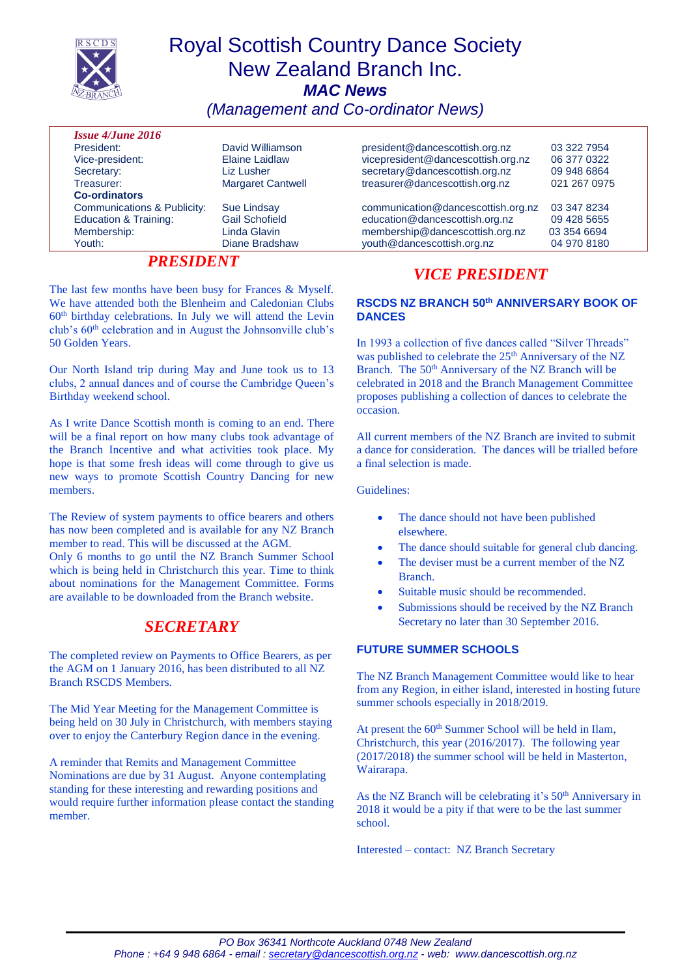| <b>Royal Scottish Country Dance Society</b><br><b>RSCDS</b><br><b>New Zealand Branch Inc.</b><br><b>MAC News</b><br>(Management and Co-ordinator News) |                          |                                    |              |
|--------------------------------------------------------------------------------------------------------------------------------------------------------|--------------------------|------------------------------------|--------------|
| <b>Issue 4/June 2016</b>                                                                                                                               |                          |                                    |              |
| President:                                                                                                                                             | David Williamson         | president@dancescottish.org.nz     | 03 322 7954  |
| Vice-president:                                                                                                                                        | Elaine Laidlaw           | vicepresident@dancescottish.org.nz | 06 377 0322  |
| Secretary:                                                                                                                                             | Liz Lusher               | secretary@dancescottish.org.nz     | 09 948 6864  |
| Treasurer:                                                                                                                                             | <b>Margaret Cantwell</b> | treasurer@dancescottish.org.nz     | 021 267 0975 |
| <b>Co-ordinators</b>                                                                                                                                   |                          |                                    |              |
| Communications & Publicity:                                                                                                                            | <b>Sue Lindsay</b>       | communication@dancescottish.org.nz | 03 347 8234  |
| <b>Education &amp; Training:</b>                                                                                                                       | <b>Gail Schofield</b>    | education@dancescottish.org.nz     | 09 428 5655  |
| Membership:                                                                                                                                            | Linda Glavin             | membership@dancescottish.org.nz    | 03 354 6694  |
| Youth:                                                                                                                                                 | Diane Bradshaw           | youth@dancescottish.org.nz         | 04 970 8180  |

### *PRESIDENT*

The last few months have been busy for Frances & Myself. We have attended both the Blenheim and Caledonian Clubs  $60<sup>th</sup>$  birthday celebrations. In July we will attend the Levin club's 60th celebration and in August the Johnsonville club's 50 Golden Years.

Our North Island trip during May and June took us to 13 clubs, 2 annual dances and of course the Cambridge Queen's Birthday weekend school.

As I write Dance Scottish month is coming to an end. There will be a final report on how many clubs took advantage of the Branch Incentive and what activities took place. My hope is that some fresh ideas will come through to give us new ways to promote Scottish Country Dancing for new members.

The Review of system payments to office bearers and others has now been completed and is available for any NZ Branch member to read. This will be discussed at the AGM.

Only 6 months to go until the NZ Branch Summer School which is being held in Christchurch this year. Time to think about nominations for the Management Committee. Forms are available to be downloaded from the Branch website.

## *SECRETARY*

The completed review on Payments to Office Bearers, as per the AGM on 1 January 2016, has been distributed to all NZ Branch RSCDS Members.

The Mid Year Meeting for the Management Committee is being held on 30 July in Christchurch, with members staying over to enjoy the Canterbury Region dance in the evening.

A reminder that Remits and Management Committee Nominations are due by 31 August. Anyone contemplating standing for these interesting and rewarding positions and would require further information please contact the standing member.

## *VICE PRESIDENT*

#### **RSCDS NZ BRANCH 50th ANNIVERSARY BOOK OF DANCES**

In 1993 a collection of five dances called "Silver Threads" was published to celebrate the 25<sup>th</sup> Anniversary of the NZ Branch. The 50<sup>th</sup> Anniversary of the NZ Branch will be celebrated in 2018 and the Branch Management Committee proposes publishing a collection of dances to celebrate the occasion.

All current members of the NZ Branch are invited to submit a dance for consideration. The dances will be trialled before a final selection is made.

Guidelines:

- The dance should not have been published elsewhere.
- The dance should suitable for general club dancing.
- The deviser must be a current member of the NZ Branch.
- Suitable music should be recommended.
- Submissions should be received by the NZ Branch Secretary no later than 30 September 2016.

### **FUTURE SUMMER SCHOOLS**

The NZ Branch Management Committee would like to hear from any Region, in either island, interested in hosting future summer schools especially in 2018/2019.

At present the 60<sup>th</sup> Summer School will be held in Ilam, Christchurch, this year (2016/2017). The following year (2017/2018) the summer school will be held in Masterton, Wairarapa.

As the NZ Branch will be celebrating it's  $50<sup>th</sup>$  Anniversary in 2018 it would be a pity if that were to be the last summer school.

Interested – contact: NZ Branch Secretary